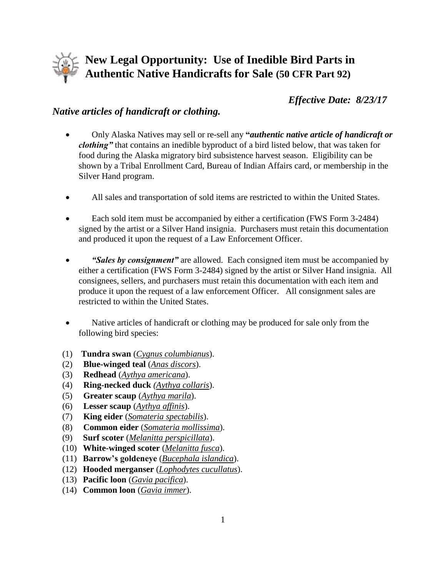

## **New Legal Opportunity: Use of Inedible Bird Parts in Authentic Native Handicrafts for Sale (50 CFR Part 92)**

*Effective Date: 8/23/17*

## *Native articles of handicraft or clothing.*

- Only Alaska Natives may sell or re-sell any **"***authentic native article of handicraft or clothing"* that contains an inedible byproduct of a bird listed below, that was taken for food during the Alaska migratory bird subsistence harvest season. Eligibility can be shown by a Tribal Enrollment Card, Bureau of Indian Affairs card, or membership in the Silver Hand program.
- All sales and transportation of sold items are restricted to within the United States.
- Each sold item must be accompanied by either a certification (FWS Form 3-2484) signed by the artist or a Silver Hand insignia. Purchasers must retain this documentation and produced it upon the request of a Law Enforcement Officer.
- *"Sales by consignment"* are allowed. Each consigned item must be accompanied by either a certification (FWS Form 3-2484) signed by the artist or Silver Hand insignia. All consignees, sellers, and purchasers must retain this documentation with each item and produce it upon the request of a law enforcement Officer. All consignment sales are restricted to within the United States.
- Native articles of handicraft or clothing may be produced for sale only from the following bird species:
- (1) **Tundra swan** (*Cygnus columbianus*).
- (2) **Blue-winged teal** (*Anas discors*).
- (3) **Redhead** (*Aythya americana*).
- (4) **Ring-necked duck** *(Aythya collaris*).
- (5) **Greater scaup** (*Aythya marila*).
- (6) **Lesser scaup** (*Aythya affinis*).
- (7) **King eider** (*Somateria spectabilis*).
- (8) **Common eider** (*Somateria mollissima*).
- (9) **Surf scoter** (*Melanitta perspicillata*).
- (10) **White-winged scoter** (*Melanitta fusca*).
- (11) **Barrow's goldeneye** (*Bucephala islandica*).
- (12) **Hooded merganser** (*Lophodytes cucullatus*).
- (13) **Pacific loon** (*Gavia pacifica*).
- (14) **Common loon** (*Gavia immer*).